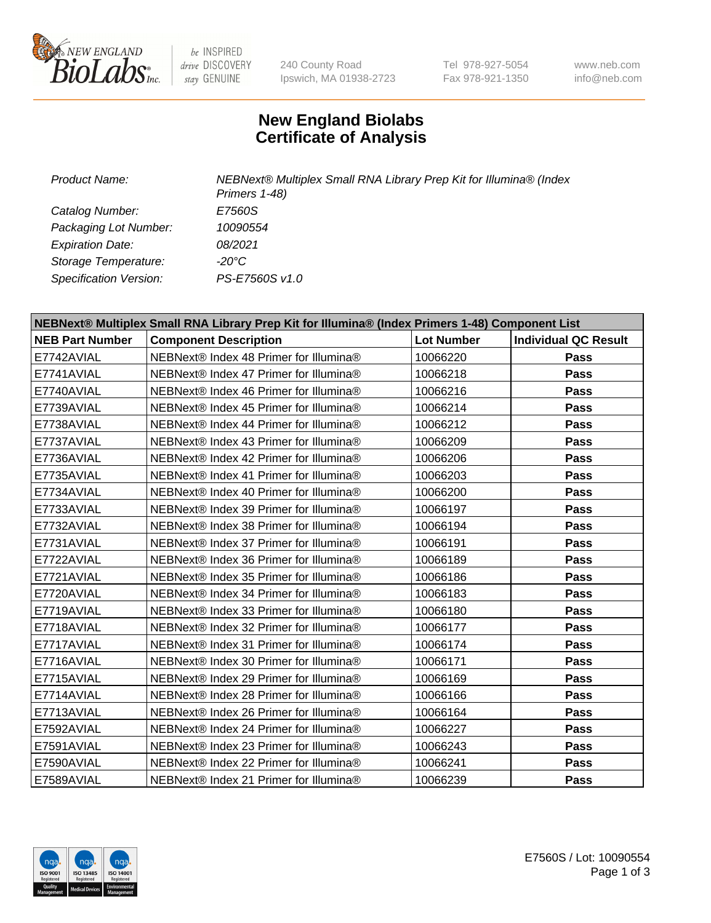

be INSPIRED drive DISCOVERY stay GENUINE

240 County Road Ipswich, MA 01938-2723 Tel 978-927-5054 Fax 978-921-1350

www.neb.com info@neb.com

## **New England Biolabs Certificate of Analysis**

*Product Name: NEBNext® Multiplex Small RNA Library Prep Kit for Illumina® (Index Primers 1-48) Catalog Number: E7560S Packaging Lot Number: 10090554 Expiration Date: 08/2021 Storage Temperature: -20°C Specification Version: PS-E7560S v1.0*

| NEBNext® Multiplex Small RNA Library Prep Kit for Illumina® (Index Primers 1-48) Component List |                                        |                   |                             |  |
|-------------------------------------------------------------------------------------------------|----------------------------------------|-------------------|-----------------------------|--|
| <b>NEB Part Number</b>                                                                          | <b>Component Description</b>           | <b>Lot Number</b> | <b>Individual QC Result</b> |  |
| E7742AVIAL                                                                                      | NEBNext® Index 48 Primer for Illumina® | 10066220          | Pass                        |  |
| E7741AVIAL                                                                                      | NEBNext® Index 47 Primer for Illumina® | 10066218          | Pass                        |  |
| E7740AVIAL                                                                                      | NEBNext® Index 46 Primer for Illumina® | 10066216          | Pass                        |  |
| E7739AVIAL                                                                                      | NEBNext® Index 45 Primer for Illumina® | 10066214          | Pass                        |  |
| E7738AVIAL                                                                                      | NEBNext® Index 44 Primer for Illumina® | 10066212          | Pass                        |  |
| E7737AVIAL                                                                                      | NEBNext® Index 43 Primer for Illumina® | 10066209          | Pass                        |  |
| E7736AVIAL                                                                                      | NEBNext® Index 42 Primer for Illumina® | 10066206          | Pass                        |  |
| E7735AVIAL                                                                                      | NEBNext® Index 41 Primer for Illumina® | 10066203          | Pass                        |  |
| E7734AVIAL                                                                                      | NEBNext® Index 40 Primer for Illumina® | 10066200          | Pass                        |  |
| E7733AVIAL                                                                                      | NEBNext® Index 39 Primer for Illumina® | 10066197          | Pass                        |  |
| E7732AVIAL                                                                                      | NEBNext® Index 38 Primer for Illumina® | 10066194          | <b>Pass</b>                 |  |
| E7731AVIAL                                                                                      | NEBNext® Index 37 Primer for Illumina® | 10066191          | Pass                        |  |
| E7722AVIAL                                                                                      | NEBNext® Index 36 Primer for Illumina® | 10066189          | Pass                        |  |
| E7721AVIAL                                                                                      | NEBNext® Index 35 Primer for Illumina® | 10066186          | Pass                        |  |
| E7720AVIAL                                                                                      | NEBNext® Index 34 Primer for Illumina® | 10066183          | Pass                        |  |
| E7719AVIAL                                                                                      | NEBNext® Index 33 Primer for Illumina® | 10066180          | Pass                        |  |
| E7718AVIAL                                                                                      | NEBNext® Index 32 Primer for Illumina® | 10066177          | <b>Pass</b>                 |  |
| E7717AVIAL                                                                                      | NEBNext® Index 31 Primer for Illumina® | 10066174          | <b>Pass</b>                 |  |
| E7716AVIAL                                                                                      | NEBNext® Index 30 Primer for Illumina® | 10066171          | Pass                        |  |
| E7715AVIAL                                                                                      | NEBNext® Index 29 Primer for Illumina® | 10066169          | <b>Pass</b>                 |  |
| E7714AVIAL                                                                                      | NEBNext® Index 28 Primer for Illumina® | 10066166          | Pass                        |  |
| E7713AVIAL                                                                                      | NEBNext® Index 26 Primer for Illumina® | 10066164          | Pass                        |  |
| E7592AVIAL                                                                                      | NEBNext® Index 24 Primer for Illumina® | 10066227          | <b>Pass</b>                 |  |
| E7591AVIAL                                                                                      | NEBNext® Index 23 Primer for Illumina® | 10066243          | Pass                        |  |
| E7590AVIAL                                                                                      | NEBNext® Index 22 Primer for Illumina® | 10066241          | <b>Pass</b>                 |  |
| E7589AVIAL                                                                                      | NEBNext® Index 21 Primer for Illumina® | 10066239          | Pass                        |  |

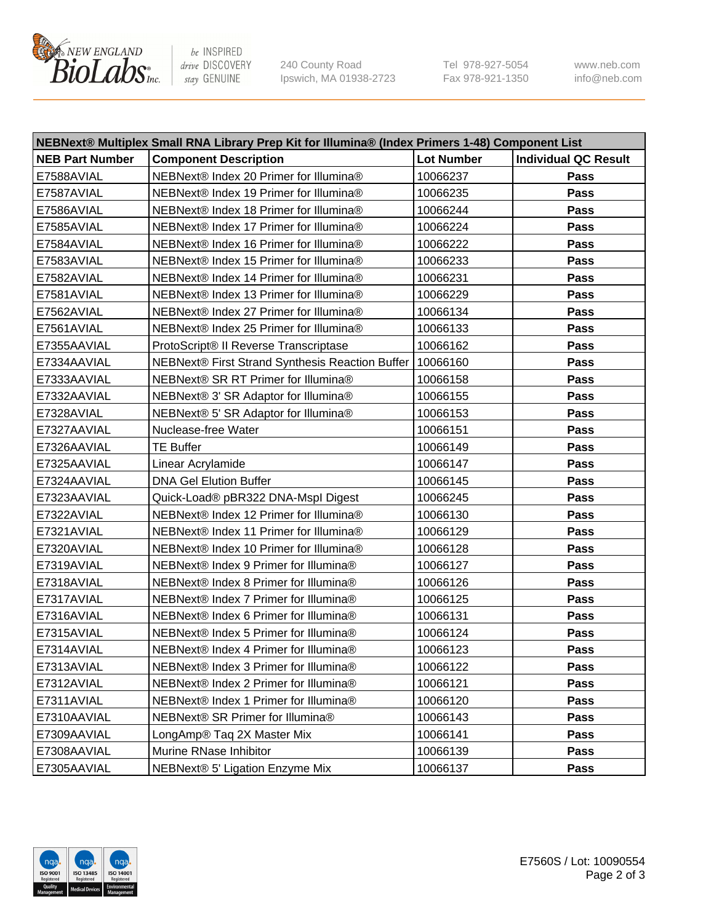

be INSPIRED drive DISCOVERY stay GENUINE

240 County Road Ipswich, MA 01938-2723 Tel 978-927-5054 Fax 978-921-1350 www.neb.com info@neb.com

| NEBNext® Multiplex Small RNA Library Prep Kit for Illumina® (Index Primers 1-48) Component List |                                                            |                   |                             |  |
|-------------------------------------------------------------------------------------------------|------------------------------------------------------------|-------------------|-----------------------------|--|
| <b>NEB Part Number</b>                                                                          | <b>Component Description</b>                               | <b>Lot Number</b> | <b>Individual QC Result</b> |  |
| E7588AVIAL                                                                                      | NEBNext® Index 20 Primer for Illumina®                     | 10066237          | Pass                        |  |
| E7587AVIAL                                                                                      | NEBNext® Index 19 Primer for Illumina®                     | 10066235          | Pass                        |  |
| E7586AVIAL                                                                                      | NEBNext® Index 18 Primer for Illumina®                     | 10066244          | Pass                        |  |
| E7585AVIAL                                                                                      | NEBNext® Index 17 Primer for Illumina®                     | 10066224          | Pass                        |  |
| E7584AVIAL                                                                                      | NEBNext® Index 16 Primer for Illumina®                     | 10066222          | Pass                        |  |
| E7583AVIAL                                                                                      | NEBNext® Index 15 Primer for Illumina®                     | 10066233          | Pass                        |  |
| E7582AVIAL                                                                                      | NEBNext® Index 14 Primer for Illumina®                     | 10066231          | Pass                        |  |
| E7581AVIAL                                                                                      | NEBNext® Index 13 Primer for Illumina®                     | 10066229          | Pass                        |  |
| E7562AVIAL                                                                                      | NEBNext® Index 27 Primer for Illumina®                     | 10066134          | Pass                        |  |
| E7561AVIAL                                                                                      | NEBNext® Index 25 Primer for Illumina®                     | 10066133          | Pass                        |  |
| E7355AAVIAL                                                                                     | ProtoScript® II Reverse Transcriptase                      | 10066162          | Pass                        |  |
| E7334AAVIAL                                                                                     | NEBNext® First Strand Synthesis Reaction Buffer   10066160 |                   | Pass                        |  |
| E7333AAVIAL                                                                                     | NEBNext® SR RT Primer for Illumina®                        | 10066158          | Pass                        |  |
| E7332AAVIAL                                                                                     | NEBNext® 3' SR Adaptor for Illumina®                       | 10066155          | Pass                        |  |
| E7328AVIAL                                                                                      | NEBNext® 5' SR Adaptor for Illumina®                       | 10066153          | Pass                        |  |
| E7327AAVIAL                                                                                     | Nuclease-free Water                                        | 10066151          | Pass                        |  |
| E7326AAVIAL                                                                                     | <b>TE Buffer</b>                                           | 10066149          | Pass                        |  |
| E7325AAVIAL                                                                                     | Linear Acrylamide                                          | 10066147          | Pass                        |  |
| E7324AAVIAL                                                                                     | <b>DNA Gel Elution Buffer</b>                              | 10066145          | Pass                        |  |
| E7323AAVIAL                                                                                     | Quick-Load® pBR322 DNA-Mspl Digest                         | 10066245          | Pass                        |  |
| E7322AVIAL                                                                                      | NEBNext® Index 12 Primer for Illumina®                     | 10066130          | Pass                        |  |
| E7321AVIAL                                                                                      | NEBNext® Index 11 Primer for Illumina®                     | 10066129          | Pass                        |  |
| E7320AVIAL                                                                                      | NEBNext® Index 10 Primer for Illumina®                     | 10066128          | Pass                        |  |
| E7319AVIAL                                                                                      | NEBNext® Index 9 Primer for Illumina®                      | 10066127          | Pass                        |  |
| E7318AVIAL                                                                                      | NEBNext® Index 8 Primer for Illumina®                      | 10066126          | Pass                        |  |
| E7317AVIAL                                                                                      | NEBNext® Index 7 Primer for Illumina®                      | 10066125          | Pass                        |  |
| E7316AVIAL                                                                                      | NEBNext® Index 6 Primer for Illumina®                      | 10066131          | Pass                        |  |
| E7315AVIAL                                                                                      | NEBNext® Index 5 Primer for Illumina®                      | 10066124          | Pass                        |  |
| E7314AVIAL                                                                                      | NEBNext® Index 4 Primer for Illumina®                      | 10066123          | Pass                        |  |
| E7313AVIAL                                                                                      | NEBNext® Index 3 Primer for Illumina®                      | 10066122          | <b>Pass</b>                 |  |
| E7312AVIAL                                                                                      | NEBNext® Index 2 Primer for Illumina®                      | 10066121          | Pass                        |  |
| E7311AVIAL                                                                                      | NEBNext® Index 1 Primer for Illumina®                      | 10066120          | Pass                        |  |
| E7310AAVIAL                                                                                     | NEBNext® SR Primer for Illumina®                           | 10066143          | Pass                        |  |
| E7309AAVIAL                                                                                     | LongAmp® Taq 2X Master Mix                                 | 10066141          | Pass                        |  |
| E7308AAVIAL                                                                                     | Murine RNase Inhibitor                                     | 10066139          | Pass                        |  |
| E7305AAVIAL                                                                                     | NEBNext® 5' Ligation Enzyme Mix                            | 10066137          | Pass                        |  |